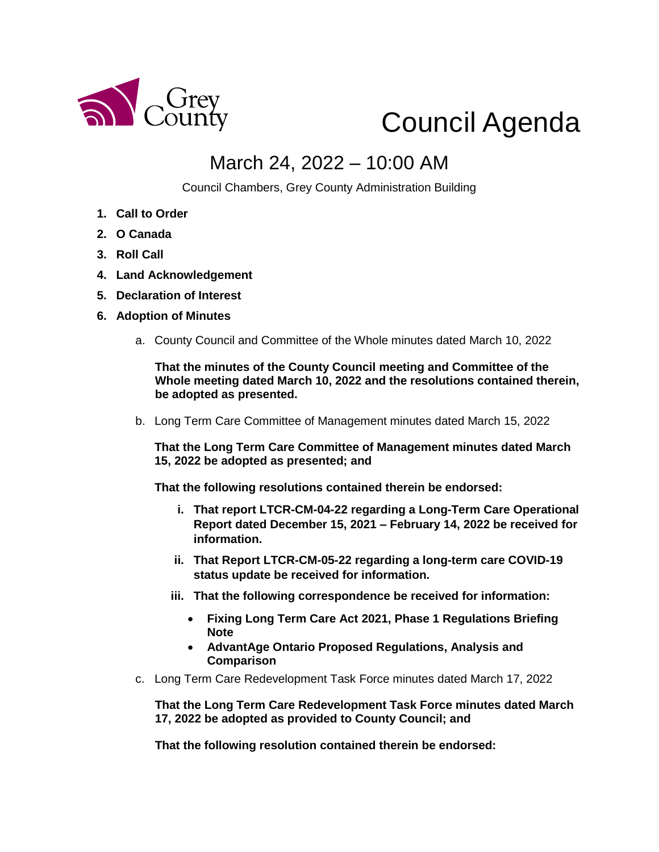

# Council Agenda

## March 24, 2022 – 10:00 AM

Council Chambers, Grey County Administration Building

- **1. Call to Order**
- **2. O Canada**
- **3. Roll Call**
- **4. Land Acknowledgement**
- **5. Declaration of Interest**
- **6. Adoption of Minutes** 
	- a. County Council and Committee of the Whole minutes dated March 10, 2022

**That the minutes of the County Council meeting and Committee of the Whole meeting dated March 10, 2022 and the resolutions contained therein, be adopted as presented.** 

b. Long Term Care Committee of Management minutes dated March 15, 2022

**That the Long Term Care Committee of Management minutes dated March 15, 2022 be adopted as presented; and**

**That the following resolutions contained therein be endorsed:**

- **i. That report LTCR-CM-04-22 regarding a Long-Term Care Operational Report dated December 15, 2021 – February 14, 2022 be received for information.**
- **ii. That Report LTCR-CM-05-22 regarding a long-term care COVID-19 status update be received for information.**
- **iii. That the following correspondence be received for information:**
	- **Fixing Long Term Care Act 2021, Phase 1 Regulations Briefing Note**
	- **AdvantAge Ontario Proposed Regulations, Analysis and Comparison**
- c. Long Term Care Redevelopment Task Force minutes dated March 17, 2022

**That the Long Term Care Redevelopment Task Force minutes dated March 17, 2022 be adopted as provided to County Council; and** 

**That the following resolution contained therein be endorsed:**